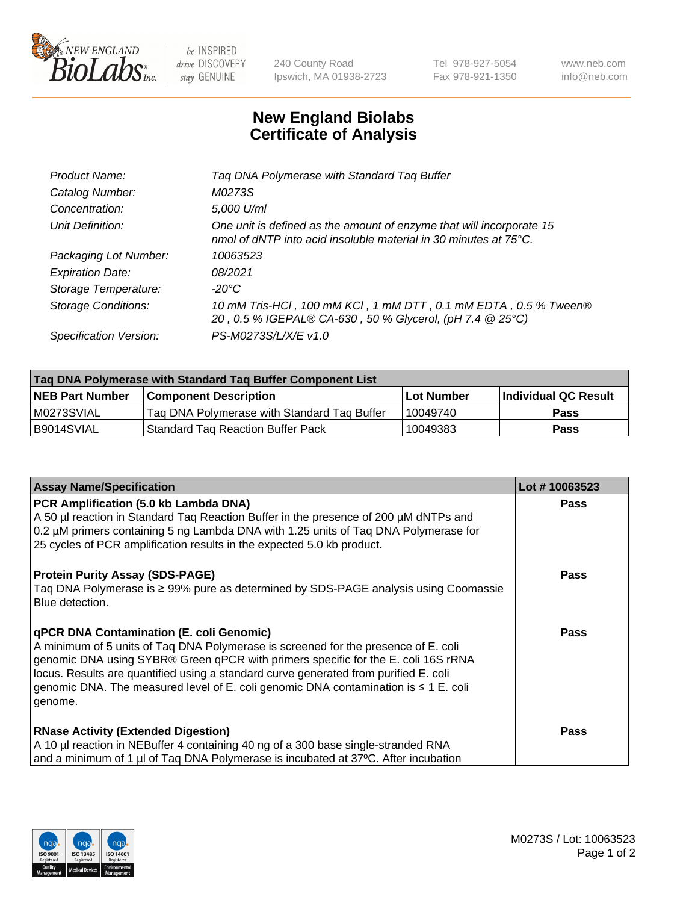

 $be$  INSPIRED drive DISCOVERY stay GENUINE

240 County Road Ipswich, MA 01938-2723 Tel 978-927-5054 Fax 978-921-1350 www.neb.com info@neb.com

## **New England Biolabs Certificate of Analysis**

| Tag DNA Polymerase with Standard Tag Buffer                                                                                              |
|------------------------------------------------------------------------------------------------------------------------------------------|
| M0273S                                                                                                                                   |
| 5,000 U/ml                                                                                                                               |
| One unit is defined as the amount of enzyme that will incorporate 15<br>nmol of dNTP into acid insoluble material in 30 minutes at 75°C. |
| 10063523                                                                                                                                 |
| 08/2021                                                                                                                                  |
| $-20^{\circ}$ C                                                                                                                          |
| 10 mM Tris-HCl, 100 mM KCl, 1 mM DTT, 0.1 mM EDTA, 0.5 % Tween®<br>20, 0.5 % IGEPAL® CA-630, 50 % Glycerol, (pH 7.4 @ 25°C)              |
| PS-M0273S/L/X/E v1.0                                                                                                                     |
|                                                                                                                                          |

| Tag DNA Polymerase with Standard Tag Buffer Component List |                                             |                   |                      |  |  |
|------------------------------------------------------------|---------------------------------------------|-------------------|----------------------|--|--|
| <b>NEB Part Number</b>                                     | Component Description_                      | <b>Lot Number</b> | Individual QC Result |  |  |
| M0273SVIAL                                                 | Tag DNA Polymerase with Standard Tag Buffer | 10049740          | Pass                 |  |  |
| B9014SVIAL                                                 | <b>Standard Tag Reaction Buffer Pack</b>    | 10049383          | <b>Pass</b>          |  |  |

| <b>Assay Name/Specification</b>                                                                                                                                                                                                                                                                                                                                                                                    | Lot #10063523 |
|--------------------------------------------------------------------------------------------------------------------------------------------------------------------------------------------------------------------------------------------------------------------------------------------------------------------------------------------------------------------------------------------------------------------|---------------|
| PCR Amplification (5.0 kb Lambda DNA)<br>A 50 µl reaction in Standard Tag Reaction Buffer in the presence of 200 µM dNTPs and<br>0.2 µM primers containing 5 ng Lambda DNA with 1.25 units of Taq DNA Polymerase for<br>25 cycles of PCR amplification results in the expected 5.0 kb product.                                                                                                                     | <b>Pass</b>   |
| <b>Protein Purity Assay (SDS-PAGE)</b><br>Taq DNA Polymerase is ≥ 99% pure as determined by SDS-PAGE analysis using Coomassie<br>Blue detection.                                                                                                                                                                                                                                                                   | <b>Pass</b>   |
| qPCR DNA Contamination (E. coli Genomic)<br>A minimum of 5 units of Taq DNA Polymerase is screened for the presence of E. coli<br>genomic DNA using SYBR® Green qPCR with primers specific for the E. coli 16S rRNA<br>locus. Results are quantified using a standard curve generated from purified E. coli<br>genomic DNA. The measured level of E. coli genomic DNA contamination is $\leq 1$ E. coli<br>genome. | <b>Pass</b>   |
| <b>RNase Activity (Extended Digestion)</b><br>A 10 µl reaction in NEBuffer 4 containing 40 ng of a 300 base single-stranded RNA<br>and a minimum of 1 µl of Taq DNA Polymerase is incubated at 37°C. After incubation                                                                                                                                                                                              | <b>Pass</b>   |